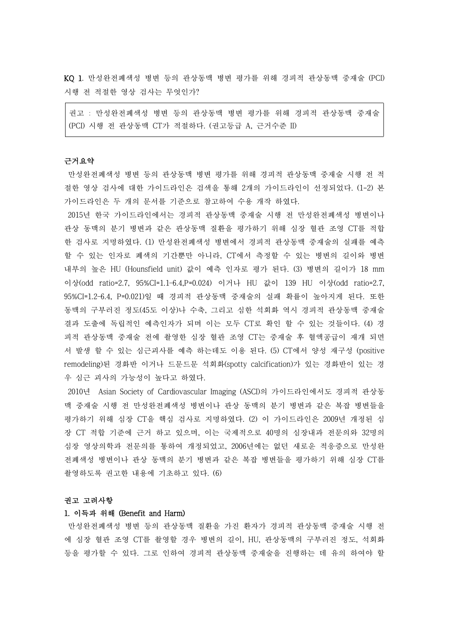KQ 1. 만성완전폐색성 병변 등의 관상동맥 병변 평가를 위해 경피적 관상동맥 중재술 (PCI) 시행 전 적절한 영상 검사는 무엇인가?

권고 : 만성완전폐색성 병변 등의 관상동맥 병변 평가를 위해 경피적 관상동맥 중재술 (PCI) 시행 전 관상동맥 CT가 적절하다. (권고등급 A, 근거수준 II)

#### 근거요약

만성완전폐색성 병변 등의 관상동맥 병변 평가를 위해 경피적 관상동맥 중재술 시행 전 적 절한 영상 검사에 대한 가이드라인은 검색을 통해 2개의 가이드라인이 선정되었다. (1-2) 본 가이드라인은 두 개의 문서를 기준으로 참고하여 수용 개작 하였다.

2015년 한국 가이드라인에서는 경피적 관상동맥 중재술 시행 전 만성완전폐색성 병변이나 관상 동맥의 분기 병변과 같은 관상동맥 질환을 평가하기 위해 심장 혈관 조영 CT를 적합 한 검사로 지명하였다. (1) 만성완전폐색성 병변에서 경피적 관상동맥 중재술의 실패를 예측 할 수 있는 인자로 폐색의 기간뿐만 아니라, CT에서 측정할 수 있는 병변의 길이와 병변 내부의 높은 HU (Hounsfield unit) 값이 예측 인자로 평가 된다. (3) 병변의 길이가 18 mm 이상(odd ratio=2.7, 95%CI=1.1–6.4,P=0.024) 이거나 HU 값이 139 HU 이상(odd ratio=2.7, 95%CI=1.2–6.4, P=0.021)일 때 경피적 관상동맥 중재술의 실패 확률이 높아지게 된다. 또한 동맥의 구부러진 정도(45도 이상)나 수축, 그리고 심한 석회화 역시 경피적 관상동맥 중재술 결과 도출에 독립적인 예측인자가 되며 이는 모두 CT로 확인 할 수 있는 것들이다. (4) 경 피적 관상동맥 중재술 전에 촬영한 심장 혈관 조영 CT는 중재술 후 혈액공급이 재개 되면 서 발생 할 수 있는 심근괴사를 예측 하는데도 이용 된다. (5) CT에서 양성 재구성 (positive remodeling)된 경화반 이거나 드문드문 석회화(spotty calcification)가 있는 경화반이 있는 경 우 심근 괴사의 가능성이 높다고 하였다.

2010년 Asian Society of Cardiovascular Imaging (ASCI)의 가이드라인에서도 경피적 관상동 맥 중재술 시행 전 만성완전폐색성 병변이나 관상 동맥의 분기 병변과 같은 복잡 병변들을 평가하기 위해 심장 CT을 핵심 검사로 지명하였다. (2) 이 가이드라인은 2009년 개정된 심 장 CT 적합 기준에 근거 하고 있으며, 이는 국제적으로 40명의 심장내과 전문의와 32명의 심장 영상의학과 전문의를 통하여 개정되었고, 2006년에는 없던 새로운 적응증으로 만성완 전폐색성 병변이나 관상 동맥의 분기 병변과 같은 복잡 병변들을 평가하기 위해 심장 CT를 촬영하도록 권고한 내용에 기초하고 있다. (6)

#### 권고 고려사항

#### 1. 이득과 위해 (Benefit and Harm)

만성완전폐색성 병변 등의 관상동맥 질환을 가진 환자가 경피적 관상동맥 중재술 시행 전 에 심장 혈관 조영 CT를 촬영할 경우 병변의 길이, HU, 관상동맥의 구부러진 정도, 석회화 등을 평가할 수 있다. 그로 인하여 경피적 관상동맥 중재술을 진행하는 데 유의 하여야 할